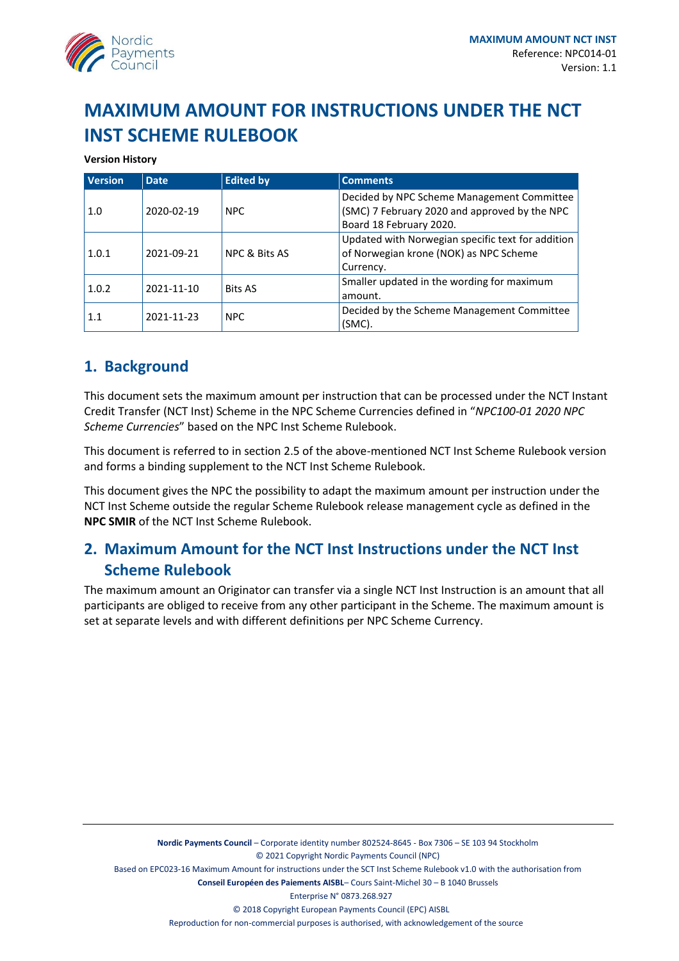

# **MAXIMUM AMOUNT FOR INSTRUCTIONS UNDER THE NCT INST SCHEME RULEBOOK**

#### **Version History**

| <b>Version</b> | <b>Date</b> | <b>Edited by</b>         | <b>Comments</b>                                   |
|----------------|-------------|--------------------------|---------------------------------------------------|
|                |             |                          | Decided by NPC Scheme Management Committee        |
| 1.0            | 2020-02-19  | <b>NPC</b>               | (SMC) 7 February 2020 and approved by the NPC     |
|                |             |                          | Board 18 February 2020.                           |
| 1.0.1          | 2021-09-21  | <b>NPC &amp; Bits AS</b> | Updated with Norwegian specific text for addition |
|                |             |                          | of Norwegian krone (NOK) as NPC Scheme            |
|                |             |                          | Currency.                                         |
| 1.0.2          | 2021-11-10  | <b>Bits AS</b>           | Smaller updated in the wording for maximum        |
|                |             |                          | amount.                                           |
| 1.1            | 2021-11-23  | <b>NPC</b>               | Decided by the Scheme Management Committee        |
|                |             |                          | $(SMC)$ .                                         |

## **1. Background**

This document sets the maximum amount per instruction that can be processed under the NCT Instant Credit Transfer (NCT Inst) Scheme in the NPC Scheme Currencies defined in "*NPC100-01 2020 NPC Scheme Currencies*" based on the NPC Inst Scheme Rulebook.

This document is referred to in section 2.5 of the above-mentioned NCT Inst Scheme Rulebook version and forms a binding supplement to the NCT Inst Scheme Rulebook.

This document gives the NPC the possibility to adapt the maximum amount per instruction under the NCT Inst Scheme outside the regular Scheme Rulebook release management cycle as defined in the **NPC SMIR** of the NCT Inst Scheme Rulebook.

# **2. Maximum Amount for the NCT Inst Instructions under the NCT Inst Scheme Rulebook**

The maximum amount an Originator can transfer via a single NCT Inst Instruction is an amount that all participants are obliged to receive from any other participant in the Scheme. The maximum amount is set at separate levels and with different definitions per NPC Scheme Currency.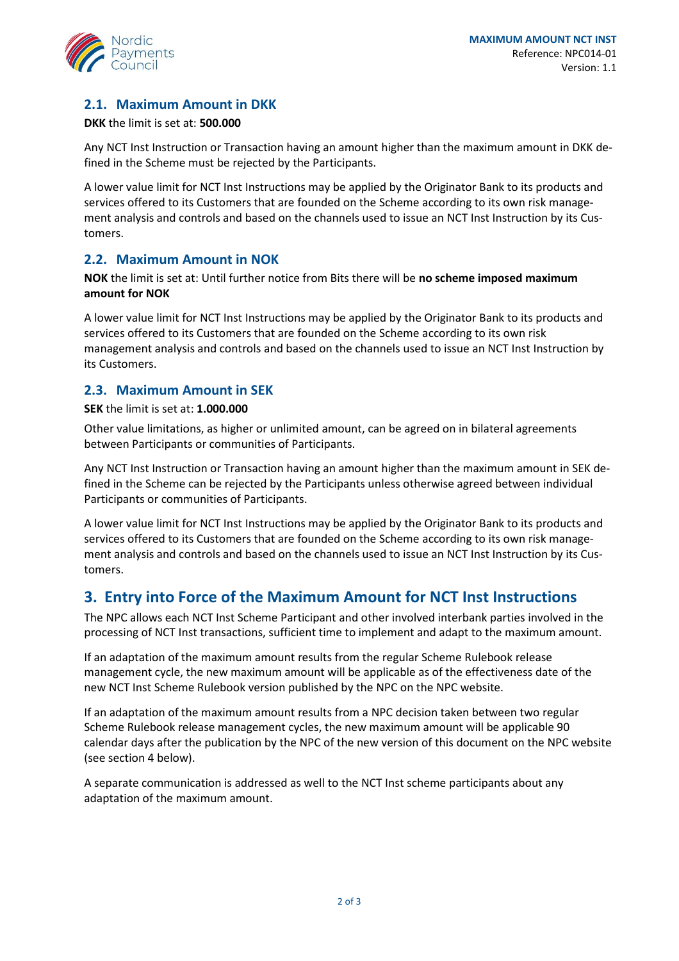

### **2.1. Maximum Amount in DKK**

#### **DKK** the limit is set at: **500.000**

Any NCT Inst Instruction or Transaction having an amount higher than the maximum amount in DKK defined in the Scheme must be rejected by the Participants.

A lower value limit for NCT Inst Instructions may be applied by the Originator Bank to its products and services offered to its Customers that are founded on the Scheme according to its own risk management analysis and controls and based on the channels used to issue an NCT Inst Instruction by its Customers.

#### **2.2. Maximum Amount in NOK**

**NOK** the limit is set at: Until further notice from Bits there will be **no scheme imposed maximum amount for NOK**

A lower value limit for NCT Inst Instructions may be applied by the Originator Bank to its products and services offered to its Customers that are founded on the Scheme according to its own risk management analysis and controls and based on the channels used to issue an NCT Inst Instruction by its Customers.

### **2.3. Maximum Amount in SEK**

**SEK** the limit is set at: **1.000.000**

Other value limitations, as higher or unlimited amount, can be agreed on in bilateral agreements between Participants or communities of Participants.

Any NCT Inst Instruction or Transaction having an amount higher than the maximum amount in SEK defined in the Scheme can be rejected by the Participants unless otherwise agreed between individual Participants or communities of Participants.

A lower value limit for NCT Inst Instructions may be applied by the Originator Bank to its products and services offered to its Customers that are founded on the Scheme according to its own risk management analysis and controls and based on the channels used to issue an NCT Inst Instruction by its Customers.

### **3. Entry into Force of the Maximum Amount for NCT Inst Instructions**

The NPC allows each NCT Inst Scheme Participant and other involved interbank parties involved in the processing of NCT Inst transactions, sufficient time to implement and adapt to the maximum amount.

If an adaptation of the maximum amount results from the regular Scheme Rulebook release management cycle, the new maximum amount will be applicable as of the effectiveness date of the new NCT Inst Scheme Rulebook version published by the NPC on the NPC website.

If an adaptation of the maximum amount results from a NPC decision taken between two regular Scheme Rulebook release management cycles, the new maximum amount will be applicable 90 calendar days after the publication by the NPC of the new version of this document on the NPC website (see sectio[n 4](#page-2-0) below).

A separate communication is addressed as well to the NCT Inst scheme participants about any adaptation of the maximum amount.